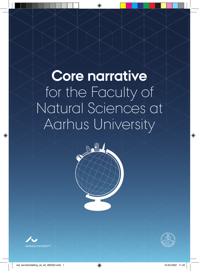# **Core narrative** for the Faculty of Natural Sciences at Aarhus University

**Communication** 

⊕



⊕

◈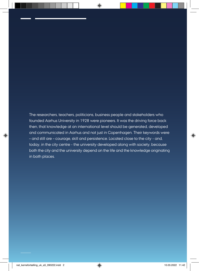The researchers, teachers, politicians, business people and stakeholders who founded Aarhus University in 1928 were pioneers. It was the driving force back then, that knowledge at an international level should be generated, developed and communicated in Aarhus and not just in Copenhagen. Their keywords were – and still are – courage, skill and persistence. Located close to the city - and, today, in the city centre - the university developed along with society, because both the city and the university depend on the life and the knowledge originating in both places.

⊕

◈

 $\langle \spadesuit \rangle$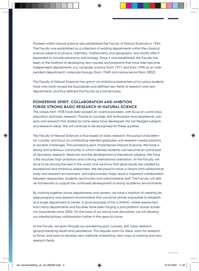Pioneers within natural science also established the Faculty of Natural Sciences in 1954. The Faculty was established as a collection of existing departments within the classical science subjects of physics, chemistry, mathematics and geography, and shortly after it expanded to include astronomy and biology. Since it was established, the Faculty has been at the forefront of developing new courses and programs that have later become independent departments, e.g. computer science (from 1971 and from 1998 as an independent department), molecular biology (from 1968) and nanoscience (from 2002).

The Faculty of Natural Sciences has grown via ambitious researchers and curious students have who have moved the boundaries and defined new fields of research and new departments, and thus defined the Faculty as it stands today.

## **PIONEERING SPIRIT, COLLABORATION AND AMBITION FORGE STRONG BASIC RESEARCH IN NATURAL SCIENCE**

The values from 1928 have been passed on: science pioneers, with focus on world-class education and basic research. Thanks to courage, skill, enthusiasm and persistence, subjects and research that started as niche areas have developed into full-fledged subjects and research areas. We will continue to be recognised for these qualities.

The Faculty of Natural Sciences is thus based on basic research, the pursuit of excellence, curiosity and focus on contributing talented graduates and research-based solutions to societal challenges. The pioneering spirit characterises Natural Sciences: We have a strong and ambitious community in which talented students can become an active part of laboratory research, fieldwork and the development of theoretical subjects. We have a flat structure, high ambitions and a strong international orientation. At the Faculty, we strive to be among the best in the world, and we know that great results are created by exceptional and ambitious researchers. We are proud to have a vibrant and collaborative study and research environment, and behind every major result is important collaboration between researchers, students, technicians and administrative staff. The Faculty will define frameworks to support the continued development of strong academic environments.

By working together across departments and centers, we have a tradition of creating degree programs and research environments that would be almost impossible to establish at a single department or center. A good example of this is iNANO, where researchers from many departments and faculties have been forging a joint platform across academic boundaries since 2002. On the basis of our strong core disciplines, we will develop our interdisciplinary collaboration further in the years to come.

At the Faculty, we grow through our pioneering spirit, curiosity, skill, basic research, ground-breaking results and persistence. This requires room for ideas, room for research to thrive, and room to develop new methods of teaching, new ways of working and new research fields.

nat\_kernefortælling\_uk\_a5\_090222.indd 3 10.03.2022 11.42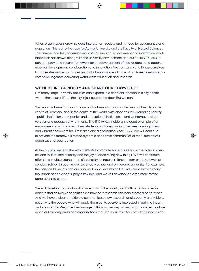When organisations grow, so does interest from society and its need for governance and regulation. This is also the case for Aarhus University and the Faculty of Natural Sciences. The number of rules concerning education, research, employment and international collaboration has grown along with the university environment and our Faculty. Rules support and provide a secure framework for the development of free research and opportunities for development, collaboration and innovation. We constantly challenge ourselves to further streamline our processes, so that we can spend more of our time developing our core tasks together: delivering world-class education and research.

### **WE NURTURE CURIOSITY AND SHARE OUR KNOWLEDGE**

Not many large university faculties can expand in a coherent location in a city centre, where the cultural life of the city is just outside the door. But we can!

We reap the benefits of our unique and cohesive location in the heart of the city, in the centre of Denmark, and in the centre of the world, with close ties to surrounding society – public institutions, companies and educational institutions – and to international universities and research environments. The IT City Katrinebjerg is a good example of an environment in which researchers, students and companies have been forging a new and vibrant ecosystem for IT research and digitalisation since 1999. We will continue to provide the framework for the dynamic academic communities of the future across organisational boundaries.

At the Faculty, we lead the way in efforts to promote societal interest in the natural science, and to stimulate curiosity and the joy of discovering new things. We will contribute efforts to stimulate young people's curiosity for natural science - from primary/lower secondary school, through upper secondary school and onwards to university. For example, the Science Museums and our popular Public Lectures on Natural Sciences, with many thousands of participants, play a key role, and we will develop this even more for the generations to come.

We will develop our collaboration internally at the Faculty and with other faculties in order to find answers and solutions to how new research can help create a better world. And we have a clear ambition to communicate new research results openly and widely, not only to the people who will apply them but to everyone interested in gaining insight and knowledge. We have the courage to think across departments and faculties, and we reach out to companies and organisations that share our thirst for knowledge and insight.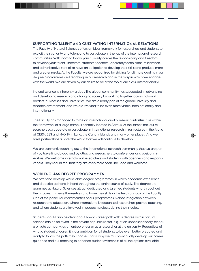## **SUPPORTING TALENT AND CULTIVATING INTERNATIONAL RELATIONS**

The Faculty of Natural Sciences offers an ideal framework for researchers and students to exploit their curiosity and talent and to participate in the top of the international research communities. With room to follow your curiosity comes the responsibility and freedom to develop your talent. Therefore, students, teachers, laboratory technicians, researchers and administrative staff alike have an obligation to develop their skills and produce more and greater results. At the Faculty, we are recognised for striving for ultimate quality: in our degree programmes and teaching, in our research and in the way in which we engage with the world. We are driven by our desire to be at the top of our class, internationally!

Natural science is inherently global. The global community has succeeded in advancing and developing research and changing society by working together across national borders, businesses and universities. We are already part of the global university and research environment, and we are working to be even more visible, both nationally and internationally.

The Faculty has managed to forge an international quality research infrastructure within the framework of a large campus centrally located in Aarhus. At the same time, our researchers own, operate or participate in international research infrastructures in the Arctic, at CERN, ESS and MAX IV in Lund, the Canary Islands and many other places. And we have partnerships all over the world that we will continue to develop.

We are constantly reaching out to the international research community that we are part of - by travelling abroad and by attracting researchers to conferences and positions in Aarhus. We welcome international researchers and students with openness and responsiveness. They should feel that they are even more seen, included and welcome.

#### **WORLD-CLASS DEGREE PROGRAMMES**

We offer and develop world-class degree programmes in which academic excellence and didactics go hand in hand throughout the entire course of study. The degree programmes at Natural Sciences attract dedicated and talented students who, throughout their studies, immerse themselves and hone their skills in the fields of study at the Faculty. One of the particular characteristics of our programmes is close integration between research and education, where internationally recognised researchers provide teaching, and where students are involved in research projects during their studies.

Students should also be clear about how a career path with a degree within natural science can be followed in the private or public sector, e.g. at an upper secondary school, a private company, as an entrepreneur or as a researcher at the university. Regardless of what a student chooses, it is our ambition for all students to be even better prepared and ready to follow the path they choose. That is why we must continually develop our career guidance and our teaching to enhance student awareness of all the options available.

nat\_kernefortælling\_uk\_a5\_090222.indd 5 10.03.2022 11.42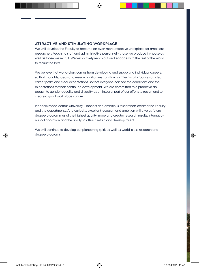## **ATTRACTIVE AND STIMULATING WORKPLACE**

We will develop the Faculty to become an even more attractive workplace for ambitious researchers, teaching staff and administrative personnel – those we produce in-house as well as those we recruit. We will actively reach out and engage with the rest of the world to recruit the best.

We believe that world-class comes from developing and supporting individual careers, so that thoughts, ideas and research initiatives can flourish. The Faculty focuses on clear career paths and clear expectations, so that everyone can see the conditions and the expectations for their continued development. We are committed to a proactive approach to gender equality and diversity as an integral part of our efforts to recruit and to create a good workplace culture.

Pioneers made Aarhus University. Pioneers and ambitious researchers created the Faculty and the departments. And curiosity, excellent research and ambition will give us future degree programmes of the highest quality, more and greater research results, international collaboration and the ability to attract, retain and develop talent.

We will continue to develop our pioneering spirit as well as world-class research and degree programs.

nat\_kernefortælling\_uk\_a5\_090222.indd 6 10.03.2022 11.42

⊕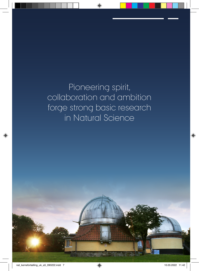Pioneering spirit, collaboration and ambition forge strong basic research in Natural Science

 $\bigoplus$ 

⊕

⊕